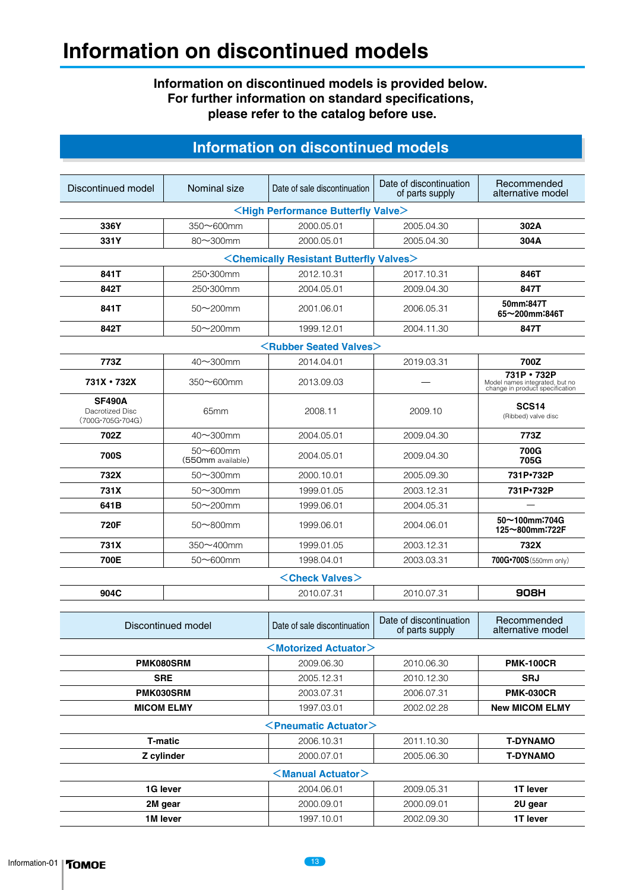## **Information on discontinued models**

#### **Information on discontinued models is provided below. For further information on standard specifications, please refer to the catalog before use.**

## **Information on discontinued models**

| Discontinued model                                         | Nominal size                                                  | Date of sale discontinuation                 | Date of discontinuation<br>of parts supply | Recommended<br>alternative model                                                 |  |  |  |  |
|------------------------------------------------------------|---------------------------------------------------------------|----------------------------------------------|--------------------------------------------|----------------------------------------------------------------------------------|--|--|--|--|
| <high butterfly="" performance="" valve=""></high>         |                                                               |                                              |                                            |                                                                                  |  |  |  |  |
| 336Y                                                       | 350~600mm                                                     | 2000.05.01                                   | 2005.04.30                                 | 302A                                                                             |  |  |  |  |
| 331Y                                                       | 80~300mm                                                      | 2000.05.01                                   | 2005.04.30                                 | 304A                                                                             |  |  |  |  |
|                                                            | <chemically butterfly="" resistant="" valves=""></chemically> |                                              |                                            |                                                                                  |  |  |  |  |
| 841T                                                       | 250·300mm                                                     | 2012.10.31                                   | 2017.10.31                                 | 846T                                                                             |  |  |  |  |
| 842T                                                       | 250•300mm                                                     | 2004.05.01                                   | 2009.04.30                                 | 847T                                                                             |  |  |  |  |
| 841T                                                       | $50 - 200$ mm                                                 | 2001.06.01                                   | 2006.05.31                                 | 50mm:847T<br>65~200mm:846T                                                       |  |  |  |  |
| 842T                                                       | $50\nu$ 200mm                                                 | 1999.12.01                                   | 2004.11.30                                 | 847T                                                                             |  |  |  |  |
|                                                            |                                                               | <b><rubber seated="" valves=""></rubber></b> |                                            |                                                                                  |  |  |  |  |
| 773Z                                                       | $40\nu$ 300mm                                                 | 2014.04.01                                   | 2019.03.31                                 | 700Z                                                                             |  |  |  |  |
| 731X • 732X                                                | $350 - 600$ mm                                                | 2013.09.03                                   |                                            | 731P · 732P<br>Model names integrated, but no<br>change in product specification |  |  |  |  |
| <b>SF490A</b><br>Dacrotized Disc<br>$(700G - 705G - 704G)$ | 65mm                                                          | 2008.11                                      | 2009.10                                    | SCS <sub>14</sub><br>(Ribbed) valve disc                                         |  |  |  |  |
| 702Z                                                       | 40~300mm                                                      | 2004.05.01                                   | 2009.04.30                                 | 773Z                                                                             |  |  |  |  |
| <b>700S</b>                                                | $50 - 600$ mm<br>(550mm available)                            | 2004.05.01                                   | 2009.04.30                                 | 700G<br>705G                                                                     |  |  |  |  |
| 732X                                                       | $50\sim$ 300mm                                                | 2000.10.01                                   | 2005.09.30                                 | 731P.732P                                                                        |  |  |  |  |
| 731X                                                       | $50\sim$ 300mm                                                | 1999.01.05                                   | 2003.12.31                                 | 731P·732P                                                                        |  |  |  |  |
| 641B                                                       | $50\nthicksim$ 200mm                                          | 1999.06.01                                   | 2004.05.31                                 |                                                                                  |  |  |  |  |
| 720F                                                       | $50\nthicksim 800$ mm                                         | 1999.06.01                                   | 2004.06.01                                 | 50~100mm:704G<br>125~800mm:722F                                                  |  |  |  |  |
| 731X                                                       | 350~400mm                                                     | 1999.01.05                                   | 2003.12.31                                 | 732X                                                                             |  |  |  |  |
| 700E                                                       | $50\nthicksim600$ mm                                          | 1998.04.01                                   | 2003.03.31                                 | 700G*700S (550mm only)                                                           |  |  |  |  |
|                                                            |                                                               | <check valves=""></check>                    |                                            |                                                                                  |  |  |  |  |
| 904C                                                       |                                                               | 2010.07.31                                   | 2010.07.31                                 | 908H                                                                             |  |  |  |  |
| Discontinued model                                         |                                                               | Date of sale discontinuation                 | Date of discontinuation<br>of parts supply | Recommended<br>alternative model                                                 |  |  |  |  |
|                                                            |                                                               | $<$ Motorized Actuator $>$                   |                                            |                                                                                  |  |  |  |  |
|                                                            | PMK080SRM                                                     | 2009.06.30                                   | 2010.06.30                                 | <b>PMK-100CR</b>                                                                 |  |  |  |  |
|                                                            |                                                               | 2005.12.31                                   | 2010.12.30                                 | <b>SRJ</b>                                                                       |  |  |  |  |
| <b>SRE</b><br>PMK030SRM                                    |                                                               | 2003.07.31                                   | 2006.07.31                                 | <b>PMK-030CR</b>                                                                 |  |  |  |  |
| <b>MICOM ELMY</b>                                          |                                                               | 1997.03.01                                   | 2002.02.28                                 | <b>New MICOM ELMY</b>                                                            |  |  |  |  |
|                                                            |                                                               | <pneumatic actuator=""></pneumatic>          |                                            |                                                                                  |  |  |  |  |
|                                                            |                                                               |                                              | 2011.10.30                                 |                                                                                  |  |  |  |  |
| <b>T-matic</b>                                             |                                                               | 2006.10.31                                   |                                            | <b>T-DYNAMO</b>                                                                  |  |  |  |  |
| Z cylinder<br>2000.07.01<br>2005.06.30<br><b>T-DYNAMO</b>  |                                                               |                                              |                                            |                                                                                  |  |  |  |  |
| <manual actuator=""></manual>                              |                                                               |                                              |                                            |                                                                                  |  |  |  |  |
| 1G lever                                                   |                                                               | 2004.06.01                                   | 2009.05.31                                 | 1T lever                                                                         |  |  |  |  |
| 2M gear                                                    |                                                               | 2000.09.01                                   | 2000.09.01                                 | 2U gear                                                                          |  |  |  |  |
| 1M lever                                                   |                                                               | 1997.10.01                                   | 2002.09.30                                 | 1T lever                                                                         |  |  |  |  |